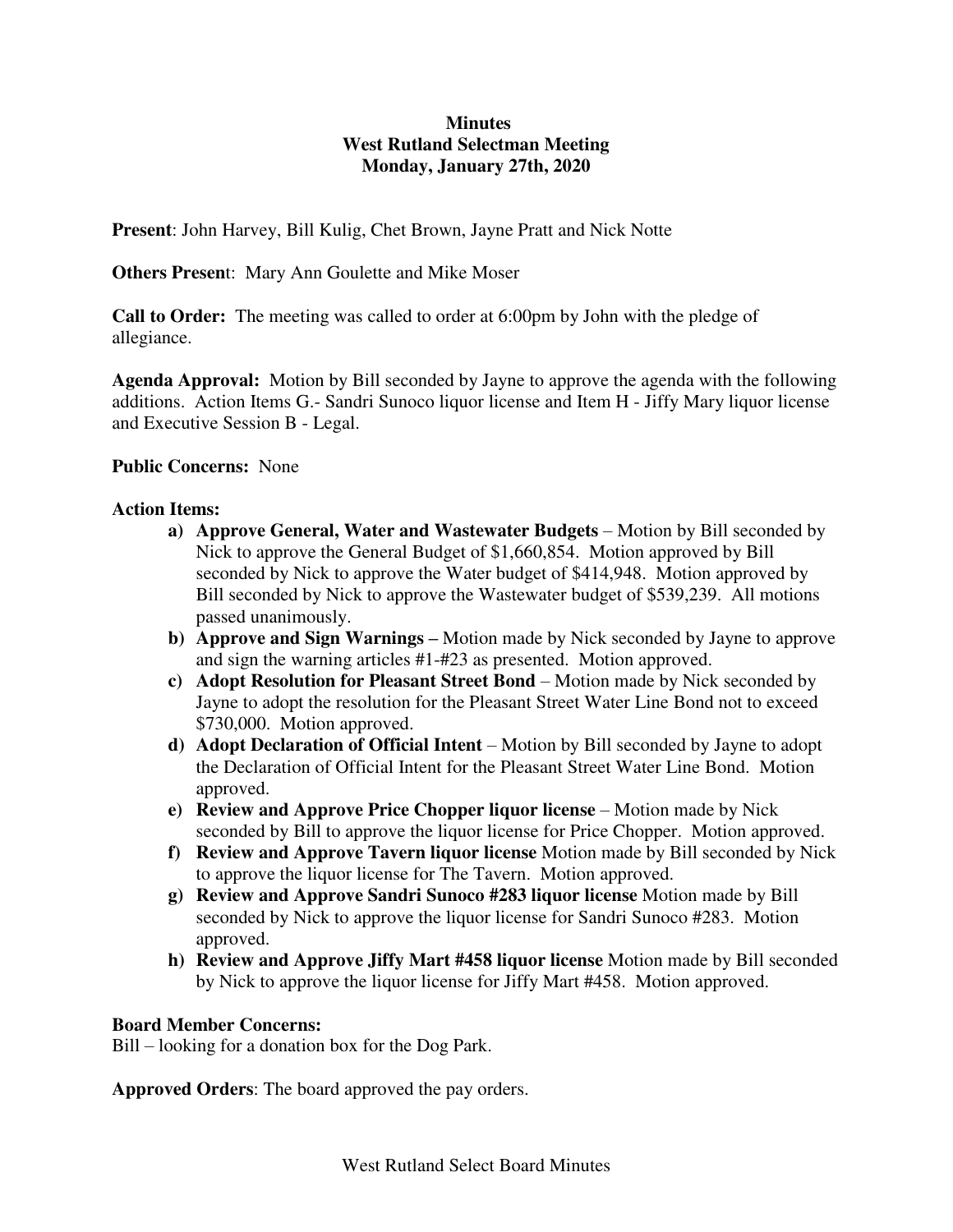## **Minutes West Rutland Selectman Meeting Monday, January 27th, 2020**

**Present**: John Harvey, Bill Kulig, Chet Brown, Jayne Pratt and Nick Notte

**Others Presen**t: Mary Ann Goulette and Mike Moser

**Call to Order:** The meeting was called to order at 6:00pm by John with the pledge of allegiance.

**Agenda Approval:** Motion by Bill seconded by Jayne to approve the agenda with the following additions. Action Items G.- Sandri Sunoco liquor license and Item H - Jiffy Mary liquor license and Executive Session B - Legal.

## **Public Concerns:** None

## **Action Items:**

- **a) Approve General, Water and Wastewater Budgets**  Motion by Bill seconded by Nick to approve the General Budget of \$1,660,854. Motion approved by Bill seconded by Nick to approve the Water budget of \$414,948. Motion approved by Bill seconded by Nick to approve the Wastewater budget of \$539,239. All motions passed unanimously.
- **b) Approve and Sign Warnings –** Motion made by Nick seconded by Jayne to approve and sign the warning articles #1-#23 as presented. Motion approved.
- **c) Adopt Resolution for Pleasant Street Bond**  Motion made by Nick seconded by Jayne to adopt the resolution for the Pleasant Street Water Line Bond not to exceed \$730,000. Motion approved.
- **d) Adopt Declaration of Official Intent**  Motion by Bill seconded by Jayne to adopt the Declaration of Official Intent for the Pleasant Street Water Line Bond. Motion approved.
- **e) Review and Approve Price Chopper liquor license** Motion made by Nick seconded by Bill to approve the liquor license for Price Chopper. Motion approved.
- **f) Review and Approve Tavern liquor license** Motion made by Bill seconded by Nick to approve the liquor license for The Tavern. Motion approved.
- **g) Review and Approve Sandri Sunoco #283 liquor license** Motion made by Bill seconded by Nick to approve the liquor license for Sandri Sunoco #283. Motion approved.
- **h) Review and Approve Jiffy Mart #458 liquor license** Motion made by Bill seconded by Nick to approve the liquor license for Jiffy Mart #458. Motion approved.

## **Board Member Concerns:**

Bill – looking for a donation box for the Dog Park.

**Approved Orders**: The board approved the pay orders.